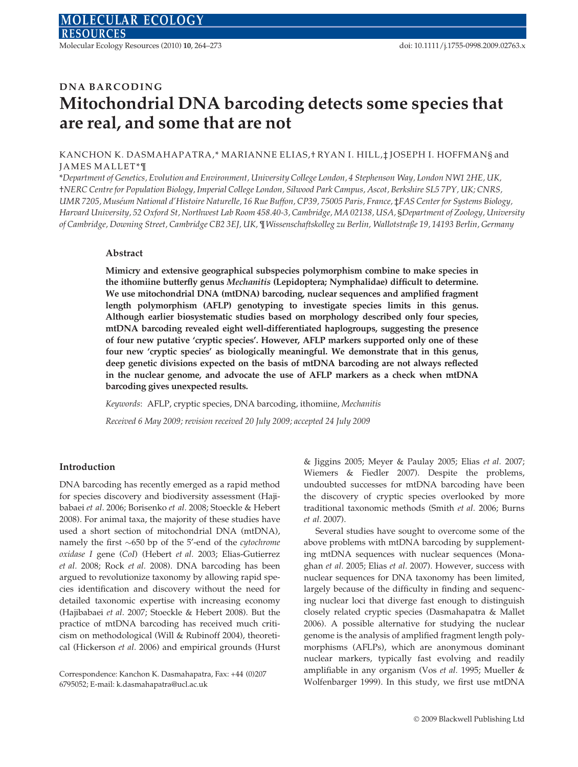Molecular Ecology Resources (2010) 10, 264–273 doi: 10.1111/j.1755-0998.2009.02763.x

# DNA BARCODING Mitochondrial DNA barcoding detects some species that are real, and some that are not

# KANCHON K. DASMAHAPATRA,\* MARIANNE ELIAS,† RYAN I. HILL,‡ JOSEPH I. HOFFMAN§ and JAMES MALLET\*¶

\*Department of Genetics, Evolution and Environment, University College London, 4 Stephenson Way, London NW1 2HE, UK, †NERC Centre for Population Biology, Imperial College London, Silwood Park Campus, Ascot, Berkshire SL5 7PY, UK; CNRS, UMR 7205, Muséum National d'Histoire Naturelle, 16 Rue Buffon, CP39, 75005 Paris, France, ‡FAS Center for Systems Biology, Harvard University, 52 Oxford St, Northwest Lab Room 458.40-3, Cambridge, MA 02138, USA, §Department of Zoology, University of Cambridge, Downing Street, Cambridge CB2 3EJ, UK, ¶Wissenschaftskolleg zu Berlin, Wallotstraße 19, 14193 Berlin, Germany

#### Abstract

Mimicry and extensive geographical subspecies polymorphism combine to make species in the ithomiine butterfly genus Mechanitis (Lepidoptera; Nymphalidae) difficult to determine. We use mitochondrial DNA (mtDNA) barcoding, nuclear sequences and amplified fragment length polymorphism (AFLP) genotyping to investigate species limits in this genus. Although earlier biosystematic studies based on morphology described only four species, mtDNA barcoding revealed eight well-differentiated haplogroups, suggesting the presence of four new putative 'cryptic species'. However, AFLP markers supported only one of these four new 'cryptic species' as biologically meaningful. We demonstrate that in this genus, deep genetic divisions expected on the basis of mtDNA barcoding are not always reflected in the nuclear genome, and advocate the use of AFLP markers as a check when mtDNA barcoding gives unexpected results.

Keywords: AFLP, cryptic species, DNA barcoding, ithomiine, Mechanitis

Received 6 May 2009; revision received 20 July 2009; accepted 24 July 2009

## Introduction

DNA barcoding has recently emerged as a rapid method for species discovery and biodiversity assessment (Hajibabaei et al. 2006; Borisenko et al. 2008; Stoeckle & Hebert 2008). For animal taxa, the majority of these studies have used a short section of mitochondrial DNA (mtDNA), namely the first  $\sim$  650 bp of the 5'-end of the cytochrome oxidase I gene (CoI) (Hebert et al. 2003; Elias-Gutierrez et al. 2008; Rock et al. 2008). DNA barcoding has been argued to revolutionize taxonomy by allowing rapid species identification and discovery without the need for detailed taxonomic expertise with increasing economy (Hajibabaei et al. 2007; Stoeckle & Hebert 2008). But the practice of mtDNA barcoding has received much criticism on methodological (Will & Rubinoff 2004), theoretical (Hickerson et al. 2006) and empirical grounds (Hurst

6795052; E-mail: k.dasmahapatra@ucl.ac.uk

& Jiggins 2005; Meyer & Paulay 2005; Elias et al. 2007; Wiemers & Fiedler 2007). Despite the problems, undoubted successes for mtDNA barcoding have been the discovery of cryptic species overlooked by more traditional taxonomic methods (Smith et al. 2006; Burns et al. 2007).

Several studies have sought to overcome some of the above problems with mtDNA barcoding by supplementing mtDNA sequences with nuclear sequences (Monaghan et al. 2005; Elias et al. 2007). However, success with nuclear sequences for DNA taxonomy has been limited, largely because of the difficulty in finding and sequencing nuclear loci that diverge fast enough to distinguish closely related cryptic species (Dasmahapatra & Mallet 2006). A possible alternative for studying the nuclear genome is the analysis of amplified fragment length polymorphisms (AFLPs), which are anonymous dominant nuclear markers, typically fast evolving and readily amplifiable in any organism (Vos et al. 1995; Mueller & Correspondence: Kanchon K. Dasmahapatra, Fax: +44 (0)207 amplemable in any organism (vos *et ut. 1995)*, Mueller &<br>6795052: E-mail: k.dasmahapatra@ucl.ac.uk bargan and Wolfenbarger 1999). In this study, we first use mtDNA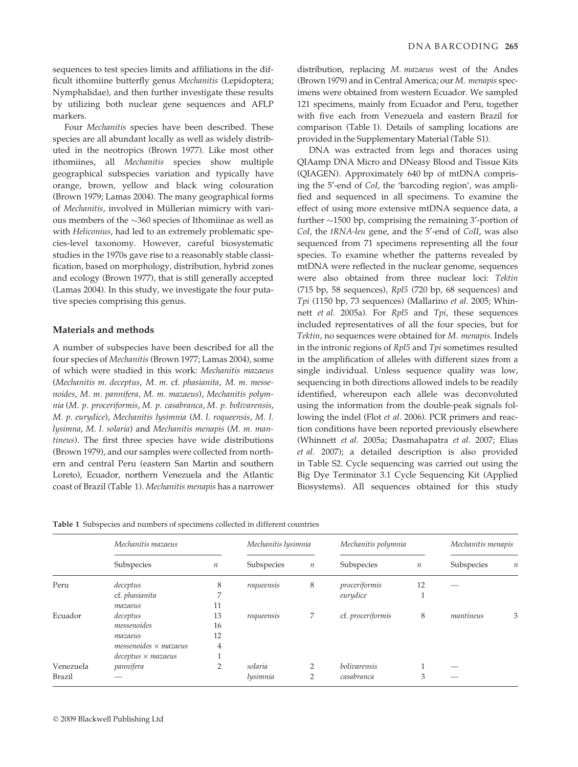sequences to test species limits and affiliations in the difficult ithomiine butterfly genus Mechanitis (Lepidoptera; Nymphalidae), and then further investigate these results by utilizing both nuclear gene sequences and AFLP markers.

Four Mechanitis species have been described. These species are all abundant locally as well as widely distributed in the neotropics (Brown 1977). Like most other ithomiines, all Mechanitis species show multiple geographical subspecies variation and typically have orange, brown, yellow and black wing colouration (Brown 1979; Lamas 2004). The many geographical forms of Mechanitis, involved in Müllerian mimicry with various members of the  $\sim\!\!360$  species of Ithomiinae as well as with Heliconius, had led to an extremely problematic species-level taxonomy. However, careful biosystematic studies in the 1970s gave rise to a reasonably stable classification, based on morphology, distribution, hybrid zones and ecology (Brown 1977), that is still generally accepted (Lamas 2004). In this study, we investigate the four putative species comprising this genus.

#### Materials and methods

A number of subspecies have been described for all the four species of Mechanitis (Brown 1977; Lamas 2004), some of which were studied in this work: Mechanitis mazaeus (Mechanitis m. deceptus, M. m. cf. phasianita, M. m. messenoides, M. m. pannifera, M. m. mazaeus), Mechanitis polymnia (M. p. proceriformis, M. p. casabranca, M. p. bolivarensis, M. p. eurydice), Mechanitis lysimnia (M. l. roqueensis, M. l. lysimna, M. l. solaria) and Mechanitis menapis (M. m. mantineus). The first three species have wide distributions (Brown 1979), and our samples were collected from northern and central Peru (eastern San Martin and southern Loreto), Ecuador, northern Venezuela and the Atlantic coast of Brazil (Table 1). Mechanitis menapis has a narrower

distribution, replacing M. mazaeus west of the Andes (Brown 1979) and in Central America; our M. menapis specimens were obtained from western Ecuador. We sampled 121 specimens, mainly from Ecuador and Peru, together with five each from Venezuela and eastern Brazil for comparison (Table 1). Details of sampling locations are provided in the Supplementary Material (Table S1).

DNA was extracted from legs and thoraces using QIAamp DNA Micro and DNeasy Blood and Tissue Kits (QIAGEN). Approximately 640 bp of mtDNA comprising the 5'-end of CoI, the 'barcoding region', was amplified and sequenced in all specimens. To examine the effect of using more extensive mtDNA sequence data, a further  $\sim$ 1500 bp, comprising the remaining 3'-portion of CoI, the tRNA-leu gene, and the 5'-end of CoII, was also sequenced from 71 specimens representing all the four species. To examine whether the patterns revealed by mtDNA were reflected in the nuclear genome, sequences were also obtained from three nuclear loci: Tektin (715 bp, 58 sequences), Rpl5 (720 bp, 68 sequences) and Tpi (1150 bp, 73 sequences) (Mallarino et al. 2005; Whinnett et al. 2005a). For Rpl5 and Tpi, these sequences included representatives of all the four species, but for Tektin, no sequences were obtained for M. menapis. Indels in the intronic regions of Rpl5 and Tpi sometimes resulted in the amplification of alleles with different sizes from a single individual. Unless sequence quality was low, sequencing in both directions allowed indels to be readily identified, whereupon each allele was deconvoluted using the information from the double-peak signals following the indel (Flot et al. 2006). PCR primers and reaction conditions have been reported previously elsewhere (Whinnett et al. 2005a; Dasmahapatra et al. 2007; Elias et al. 2007); a detailed description is also provided in Table S2. Cycle sequencing was carried out using the Big Dye Terminator 3.1 Cycle Sequencing Kit (Applied Biosystems). All sequences obtained for this study

Table 1 Subspecies and numbers of specimens collected in different countries

|               | Mechanitis mazaeus           |                  | Mechanitis lysimnia |         | Mechanitis polymnia |         | Mechanitis menapis |   |
|---------------|------------------------------|------------------|---------------------|---------|---------------------|---------|--------------------|---|
|               | Subspecies                   | $\boldsymbol{n}$ | Subspecies          | $\it n$ | Subspecies          | $\it n$ | Subspecies         |   |
| Peru          | deceptus                     | 8                | roqueensis          | 8       | proceriformis       | 12      |                    |   |
|               | cf. phasianita               |                  |                     |         | eurydice            |         |                    |   |
|               | mazaeus                      | 11               |                     |         |                     |         |                    |   |
| Ecuador       | deceptus                     | 13               | roqueensis          | 7       | cf. proceriformis   | 8       | mantineus          | 3 |
|               | messenoides                  | 16               |                     |         |                     |         |                    |   |
|               | mazaeus                      | 12               |                     |         |                     |         |                    |   |
|               | $messenoides \times mazaeus$ | 4                |                     |         |                     |         |                    |   |
|               | $deceptus \times maxaeus$    |                  |                     |         |                     |         |                    |   |
| Venezuela     | pannifera                    | $\overline{2}$   | solaria             |         | bolivarensis        |         |                    |   |
| <b>Brazil</b> |                              |                  | lysimnia            | 2       | casabranca          | 3       |                    |   |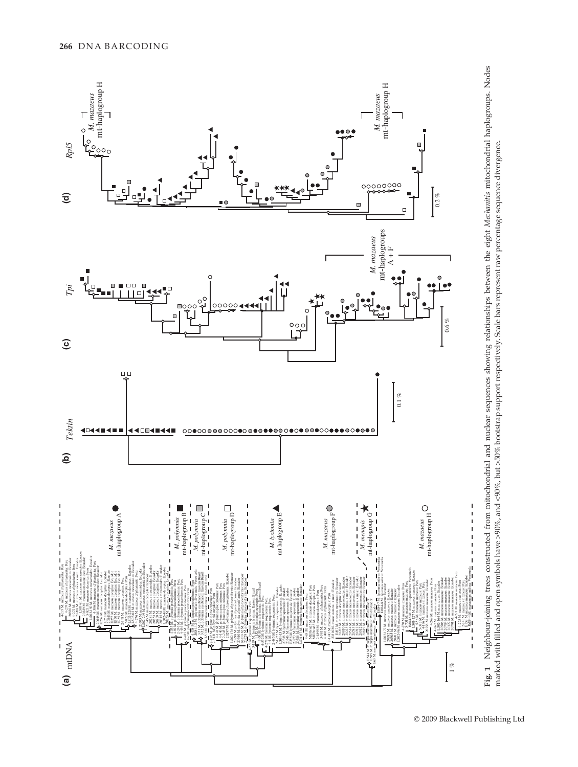

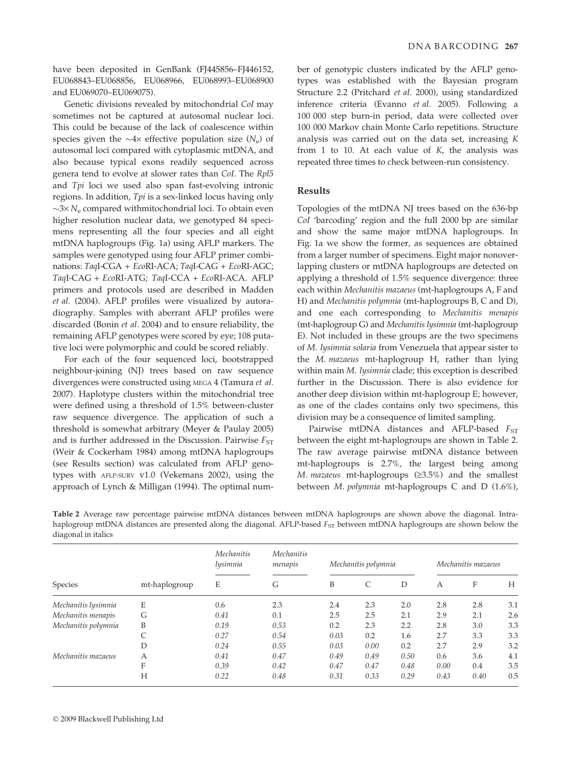have been deposited in GenBank (FJ445856–FJ446152, EU068843–EU068856, EU068966, EU068993–EU068900 and EU069070–EU069075).

Genetic divisions revealed by mitochondrial CoI may sometimes not be captured at autosomal nuclear loci. This could be because of the lack of coalescence within species given the  $\sim$ 4 $\times$  effective population size ( $N_{\rm e}$ ) of autosomal loci compared with cytoplasmic mtDNA, and also because typical exons readily sequenced across genera tend to evolve at slower rates than CoI. The Rpl5 and Tpi loci we used also span fast-evolving intronic regions. In addition, Tpi is a sex-linked locus having only  $\sim$ 3 $\times$   $N_{\rm e}$  compared withmitochondrial loci. To obtain even higher resolution nuclear data, we genotyped 84 specimens representing all the four species and all eight mtDNA haplogroups (Fig. 1a) using AFLP markers. The samples were genotyped using four AFLP primer combinations: TaqI-CGA + EcoRI-ACA; TaqI-CAG + EcoRI-AGC; TaqI-CAG + EcoRI-ATG; TaqI-CCA + EcoRI-ACA. AFLP primers and protocols used are described in Madden et al. (2004). AFLP profiles were visualized by autoradiography. Samples with aberrant AFLP profiles were discarded (Bonin et al. 2004) and to ensure reliability, the remaining AFLP genotypes were scored by eye; 108 putative loci were polymorphic and could be scored reliably.

For each of the four sequenced loci, bootstrapped neighbour-joining (NJ) trees based on raw sequence divergences were constructed using MEGA 4 (Tamura et al. 2007). Haplotype clusters within the mitochondrial tree were defined using a threshold of 1.5% between-cluster raw sequence divergence. The application of such a threshold is somewhat arbitrary (Meyer & Paulay 2005) and is further addressed in the Discussion. Pairwise  $F_{ST}$ (Weir & Cockerham 1984) among mtDNA haplogroups (see Results section) was calculated from AFLP genotypes with AFLP-SURV v1.0 (Vekemans 2002), using the approach of Lynch & Milligan (1994). The optimal number of genotypic clusters indicated by the AFLP genotypes was established with the Bayesian program Structure 2.2 (Pritchard et al. 2000), using standardized inference criteria (Evanno et al. 2005). Following a 100 000 step burn-in period, data were collected over 100 000 Markov chain Monte Carlo repetitions. Structure analysis was carried out on the data set, increasing K from 1 to 10. At each value of K, the analysis was repeated three times to check between-run consistency.

#### Results

Topologies of the mtDNA NJ trees based on the 636-bp CoI 'barcoding' region and the full 2000 bp are similar and show the same major mtDNA haplogroups. In Fig. 1a we show the former, as sequences are obtained from a larger number of specimens. Eight major nonoverlapping clusters or mtDNA haplogroups are detected on applying a threshold of 1.5% sequence divergence: three each within Mechanitis mazaeus (mt-haplogroups A, F and H) and Mechanitis polymnia (mt-haplogroups B, C and D), and one each corresponding to Mechanitis menapis (mt-haplogroup G) and Mechanitis lysimnia (mt-haplogroup E). Not included in these groups are the two specimens of M. lysimnia solaria from Venezuela that appear sister to the M. mazaeus mt-haplogroup H, rather than lying within main M. lysimnia clade; this exception is described further in the Discussion. There is also evidence for another deep division within mt-haplogroup E; however, as one of the clades contains only two specimens, this division may be a consequence of limited sampling.

Pairwise mtDNA distances and AFLP-based  $F_{ST}$ between the eight mt-haplogroups are shown in Table 2. The raw average pairwise mtDNA distance between mt-haplogroups is 2.7%, the largest being among M. mazaeus mt-haplogroups  $(≥3.5%)$  and the smallest between M. polymnia mt-haplogroups C and D (1.6%),

Table 2 Average raw percentage pairwise mtDNA distances between mtDNA haplogroups are shown above the diagonal. Intrahaplogroup mtDNA distances are presented along the diagonal. AFLP-based  $F_{ST}$  between mtDNA haplogroups are shown below the diagonal in italics

|                     | mt-haplogroup | Mechanitis<br>lysimnia | <i>Mechanitis</i><br>menapis<br>G | Mechanitis polymnia |      |      | Mechanitis mazaeus |      |     |
|---------------------|---------------|------------------------|-----------------------------------|---------------------|------|------|--------------------|------|-----|
| Species             |               | E                      |                                   | B                   | C    | D    | A                  | F    | H   |
| Mechanitis lysimnia | E             | 0.6                    | 2.3                               | 2.4                 | 2.3  | 2.0  | 2.8                | 2.8  | 3.1 |
| Mechanitis menapis  | G             | 0.41                   | 0.1                               | 2.5                 | 2.5  | 2.1  | 2.9                | 2.1  | 2.6 |
| Mechanitis polymnia | B             | 0.19                   | 0.53                              | 0.2                 | 2.3  | 2.2  | 2.8                | 3.0  | 3.3 |
|                     | C             | 0.27                   | 0.54                              | 0.03                | 0.2  | 1.6  | 2.7                | 3.3  | 3.3 |
|                     | D             | 0.24                   | 0.55                              | 0.03                | 0.00 | 0.2  | 2.7                | 2.9  | 3.2 |
| Mechanitis mazaeus  | A             | 0.41                   | 0.47                              | 0.49                | 0.49 | 0.50 | 0.6                | 3.6  | 4.1 |
|                     | F             | 0.39                   | 0.42                              | 0.47                | 0.47 | 0.48 | 0.00               | 0.4  | 3.5 |
|                     | H             | 0.22                   | 0.48                              | 0.31                | 0.33 | 0.29 | 0.43               | 0.40 | 0.5 |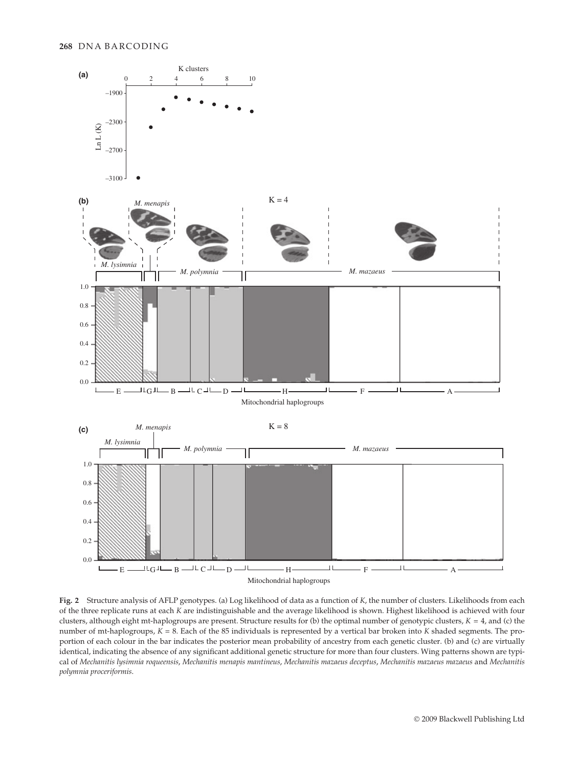

Fig. 2 Structure analysis of AFLP genotypes. (a) Log likelihood of data as a function of K, the number of clusters. Likelihoods from each of the three replicate runs at each K are indistinguishable and the average likelihood is shown. Highest likelihood is achieved with four clusters, although eight mt-haplogroups are present. Structure results for (b) the optimal number of genotypic clusters,  $K = 4$ , and (c) the number of mt-haplogroups,  $K = 8$ . Each of the 85 individuals is represented by a vertical bar broken into K shaded segments. The proportion of each colour in the bar indicates the posterior mean probability of ancestry from each genetic cluster. (b) and (c) are virtually identical, indicating the absence of any significant additional genetic structure for more than four clusters. Wing patterns shown are typical of Mechanitis lysimnia roqueensis, Mechanitis menapis mantineus, Mechanitis mazaeus deceptus, Mechanitis mazaeus mazaeus and Mechanitis polymnia proceriformis.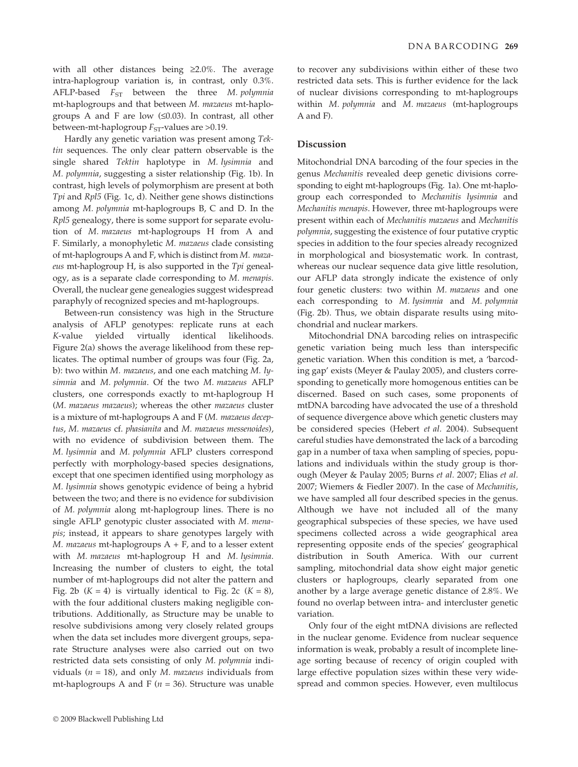with all other distances being  $\geq 2.0\%$ . The average intra-haplogroup variation is, in contrast, only 0.3%. AFLP-based  $F_{ST}$  between the three M. polymnia mt-haplogroups and that between M. mazaeus mt-haplogroups A and F are low (£0.03). In contrast, all other between-mt-haplogroup  $F_{ST}$ -values are >0.19.

Hardly any genetic variation was present among Tektin sequences. The only clear pattern observable is the single shared Tektin haplotype in M. lysimnia and M. polymnia, suggesting a sister relationship (Fig. 1b). In contrast, high levels of polymorphism are present at both Tpi and Rpl5 (Fig. 1c, d). Neither gene shows distinctions among M. polymnia mt-haplogroups B, C and D. In the Rpl5 genealogy, there is some support for separate evolution of M. mazaeus mt-haplogroups H from A and F. Similarly, a monophyletic M. mazaeus clade consisting of mt-haplogroups A and F, which is distinct from M. mazaeus mt-haplogroup H, is also supported in the Tpi genealogy, as is a separate clade corresponding to M. menapis. Overall, the nuclear gene genealogies suggest widespread paraphyly of recognized species and mt-haplogroups.

Between-run consistency was high in the Structure analysis of AFLP genotypes: replicate runs at each K-value yielded virtually identical likelihoods. Figure 2(a) shows the average likelihood from these replicates. The optimal number of groups was four (Fig. 2a, b): two within M. mazaeus, and one each matching M. lysimnia and M. polymnia. Of the two M. mazaeus AFLP clusters, one corresponds exactly to mt-haplogroup H (M. mazaeus mazaeus); whereas the other mazaeus cluster is a mixture of mt-haplogroups A and F (M. mazaeus deceptus, M. mazaeus cf. phasianita and M. mazaeus messenoides), with no evidence of subdivision between them. The M. lysimnia and M. polymnia AFLP clusters correspond perfectly with morphology-based species designations, except that one specimen identified using morphology as M. lysimnia shows genotypic evidence of being a hybrid between the two; and there is no evidence for subdivision of M. polymnia along mt-haplogroup lines. There is no single AFLP genotypic cluster associated with M. menapis; instead, it appears to share genotypes largely with  $M.$  mazaeus mt-haplogroups  $A + F$ , and to a lesser extent with M. mazaeus mt-haplogroup H and M. lysimnia. Increasing the number of clusters to eight, the total number of mt-haplogroups did not alter the pattern and Fig. 2b ( $K = 4$ ) is virtually identical to Fig. 2c ( $K = 8$ ), with the four additional clusters making negligible contributions. Additionally, as Structure may be unable to resolve subdivisions among very closely related groups when the data set includes more divergent groups, separate Structure analyses were also carried out on two restricted data sets consisting of only M. polymnia individuals ( $n = 18$ ), and only M. mazaeus individuals from mt-haplogroups A and F ( $n = 36$ ). Structure was unable to recover any subdivisions within either of these two restricted data sets. This is further evidence for the lack of nuclear divisions corresponding to mt-haplogroups within M. polymnia and M. mazaeus (mt-haplogroups A and F).

### Discussion

Mitochondrial DNA barcoding of the four species in the genus Mechanitis revealed deep genetic divisions corresponding to eight mt-haplogroups (Fig. 1a). One mt-haplogroup each corresponded to Mechanitis lysimnia and Mechanitis menapis. However, three mt-haplogroups were present within each of Mechanitis mazaeus and Mechanitis polymnia, suggesting the existence of four putative cryptic species in addition to the four species already recognized in morphological and biosystematic work. In contrast, whereas our nuclear sequence data give little resolution, our AFLP data strongly indicate the existence of only four genetic clusters: two within M. mazaeus and one each corresponding to M. lysimnia and M. polymnia (Fig. 2b). Thus, we obtain disparate results using mitochondrial and nuclear markers.

Mitochondrial DNA barcoding relies on intraspecific genetic variation being much less than interspecific genetic variation. When this condition is met, a 'barcoding gap' exists (Meyer & Paulay 2005), and clusters corresponding to genetically more homogenous entities can be discerned. Based on such cases, some proponents of mtDNA barcoding have advocated the use of a threshold of sequence divergence above which genetic clusters may be considered species (Hebert et al. 2004). Subsequent careful studies have demonstrated the lack of a barcoding gap in a number of taxa when sampling of species, populations and individuals within the study group is thorough (Meyer & Paulay 2005; Burns et al. 2007; Elias et al. 2007; Wiemers & Fiedler 2007). In the case of Mechanitis, we have sampled all four described species in the genus. Although we have not included all of the many geographical subspecies of these species, we have used specimens collected across a wide geographical area representing opposite ends of the species' geographical distribution in South America. With our current sampling, mitochondrial data show eight major genetic clusters or haplogroups, clearly separated from one another by a large average genetic distance of 2.8%. We found no overlap between intra- and intercluster genetic variation.

Only four of the eight mtDNA divisions are reflected in the nuclear genome. Evidence from nuclear sequence information is weak, probably a result of incomplete lineage sorting because of recency of origin coupled with large effective population sizes within these very widespread and common species. However, even multilocus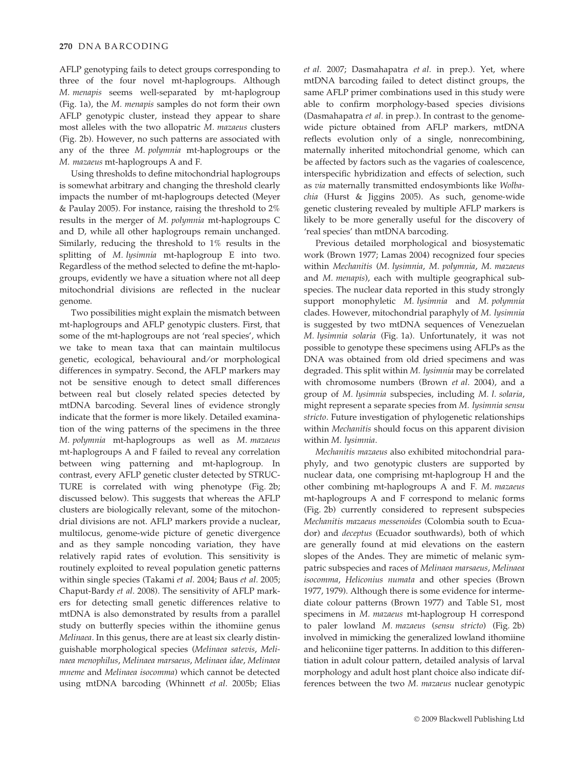AFLP genotyping fails to detect groups corresponding to three of the four novel mt-haplogroups. Although M. menapis seems well-separated by mt-haplogroup (Fig. 1a), the M. menapis samples do not form their own AFLP genotypic cluster, instead they appear to share most alleles with the two allopatric M. mazaeus clusters (Fig. 2b). However, no such patterns are associated with any of the three M. polymnia mt-haplogroups or the M. mazaeus mt-haplogroups A and F.

Using thresholds to define mitochondrial haplogroups is somewhat arbitrary and changing the threshold clearly impacts the number of mt-haplogroups detected (Meyer & Paulay 2005). For instance, raising the threshold to 2% results in the merger of M. polymnia mt-haplogroups C and D, while all other haplogroups remain unchanged. Similarly, reducing the threshold to 1% results in the splitting of *M. lysimnia* mt-haplogroup E into two. Regardless of the method selected to define the mt-haplogroups, evidently we have a situation where not all deep mitochondrial divisions are reflected in the nuclear genome.

Two possibilities might explain the mismatch between mt-haplogroups and AFLP genotypic clusters. First, that some of the mt-haplogroups are not 'real species', which we take to mean taxa that can maintain multilocus genetic, ecological, behavioural and/or morphological differences in sympatry. Second, the AFLP markers may not be sensitive enough to detect small differences between real but closely related species detected by mtDNA barcoding. Several lines of evidence strongly indicate that the former is more likely. Detailed examination of the wing patterns of the specimens in the three M. polymnia mt-haplogroups as well as M. mazaeus mt-haplogroups A and F failed to reveal any correlation between wing patterning and mt-haplogroup. In contrast, every AFLP genetic cluster detected by STRUC-TURE is correlated with wing phenotype (Fig. 2b; discussed below). This suggests that whereas the AFLP clusters are biologically relevant, some of the mitochondrial divisions are not. AFLP markers provide a nuclear, multilocus, genome-wide picture of genetic divergence and as they sample noncoding variation, they have relatively rapid rates of evolution. This sensitivity is routinely exploited to reveal population genetic patterns within single species (Takami et al. 2004; Baus et al. 2005; Chaput-Bardy et al. 2008). The sensitivity of AFLP markers for detecting small genetic differences relative to mtDNA is also demonstrated by results from a parallel study on butterfly species within the ithomiine genus Melinaea. In this genus, there are at least six clearly distinguishable morphological species (Melinaea satevis, Melinaea menophilus, Melinaea marsaeus, Melinaea idae, Melinaea mneme and Melinaea isocomma) which cannot be detected using mtDNA barcoding (Whinnett et al. 2005b; Elias

et al. 2007; Dasmahapatra et al. in prep.). Yet, where mtDNA barcoding failed to detect distinct groups, the same AFLP primer combinations used in this study were able to confirm morphology-based species divisions (Dasmahapatra et al. in prep.). In contrast to the genomewide picture obtained from AFLP markers, mtDNA reflects evolution only of a single, nonrecombining, maternally inherited mitochondrial genome, which can be affected by factors such as the vagaries of coalescence, interspecific hybridization and effects of selection, such as via maternally transmitted endosymbionts like Wolbachia (Hurst & Jiggins 2005). As such, genome-wide genetic clustering revealed by multiple AFLP markers is likely to be more generally useful for the discovery of 'real species' than mtDNA barcoding.

Previous detailed morphological and biosystematic work (Brown 1977; Lamas 2004) recognized four species within Mechanitis (M. lysimnia, M. polymnia, M. mazaeus and M. menapis), each with multiple geographical subspecies. The nuclear data reported in this study strongly support monophyletic M. lysimnia and M. polymnia clades. However, mitochondrial paraphyly of M. lysimnia is suggested by two mtDNA sequences of Venezuelan M. lysimnia solaria (Fig. 1a). Unfortunately, it was not possible to genotype these specimens using AFLPs as the DNA was obtained from old dried specimens and was degraded. This split within M. lysimnia may be correlated with chromosome numbers (Brown et al. 2004), and a group of M. lysimnia subspecies, including M. l. solaria, might represent a separate species from M. lysimnia sensu stricto. Future investigation of phylogenetic relationships within Mechanitis should focus on this apparent division within M. lysimnia.

Mechanitis mazaeus also exhibited mitochondrial paraphyly, and two genotypic clusters are supported by nuclear data, one comprising mt-haplogroup H and the other combining mt-haplogroups A and F. M. mazaeus mt-haplogroups A and F correspond to melanic forms (Fig. 2b) currently considered to represent subspecies Mechanitis mazaeus messenoides (Colombia south to Ecuador) and deceptus (Ecuador southwards), both of which are generally found at mid elevations on the eastern slopes of the Andes. They are mimetic of melanic sympatric subspecies and races of Melinaea marsaeus, Melinaea isocomma, Heliconius numata and other species (Brown 1977, 1979). Although there is some evidence for intermediate colour patterns (Brown 1977) and Table S1, most specimens in M. mazaeus mt-haplogroup H correspond to paler lowland M. mazaeus (sensu stricto) (Fig. 2b) involved in mimicking the generalized lowland ithomiine and heliconiine tiger patterns. In addition to this differentiation in adult colour pattern, detailed analysis of larval morphology and adult host plant choice also indicate differences between the two M. mazaeus nuclear genotypic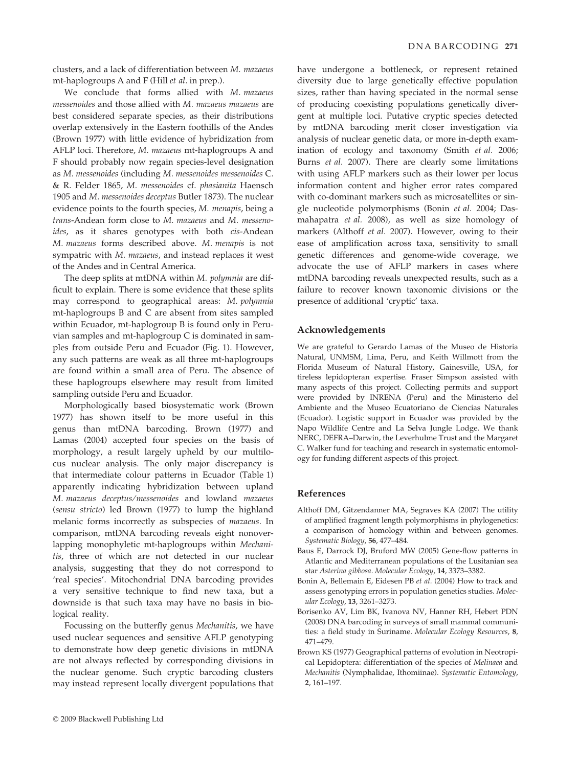clusters, and a lack of differentiation between M. mazaeus mt-haplogroups A and F (Hill et al. in prep.).

We conclude that forms allied with M. mazaeus messenoides and those allied with M. mazaeus mazaeus are best considered separate species, as their distributions overlap extensively in the Eastern foothills of the Andes (Brown 1977) with little evidence of hybridization from AFLP loci. Therefore, M. mazaeus mt-haplogroups A and F should probably now regain species-level designation as M. messenoides (including M. messenoides messenoides C. & R. Felder 1865, M. messenoides cf. phasianita Haensch 1905 and M. messenoides deceptus Butler 1873). The nuclear evidence points to the fourth species, M. menapis, being a trans-Andean form close to M. mazaeus and M. messenoides, as it shares genotypes with both cis-Andean M. mazaeus forms described above. M. menapis is not sympatric with M. mazaeus, and instead replaces it west of the Andes and in Central America.

The deep splits at mtDNA within M. polymnia are difficult to explain. There is some evidence that these splits may correspond to geographical areas: M. polymnia mt-haplogroups B and C are absent from sites sampled within Ecuador, mt-haplogroup B is found only in Peruvian samples and mt-haplogroup C is dominated in samples from outside Peru and Ecuador (Fig. 1). However, any such patterns are weak as all three mt-haplogroups are found within a small area of Peru. The absence of these haplogroups elsewhere may result from limited sampling outside Peru and Ecuador.

Morphologically based biosystematic work (Brown 1977) has shown itself to be more useful in this genus than mtDNA barcoding. Brown (1977) and Lamas (2004) accepted four species on the basis of morphology, a result largely upheld by our multilocus nuclear analysis. The only major discrepancy is that intermediate colour patterns in Ecuador (Table 1) apparently indicating hybridization between upland M. mazaeus deceptus⁄ messenoides and lowland mazaeus (sensu stricto) led Brown (1977) to lump the highland melanic forms incorrectly as subspecies of mazaeus. In comparison, mtDNA barcoding reveals eight nonoverlapping monophyletic mt-haplogroups within Mechanitis, three of which are not detected in our nuclear analysis, suggesting that they do not correspond to 'real species'. Mitochondrial DNA barcoding provides a very sensitive technique to find new taxa, but a downside is that such taxa may have no basis in biological reality.

Focussing on the butterfly genus Mechanitis, we have used nuclear sequences and sensitive AFLP genotyping to demonstrate how deep genetic divisions in mtDNA are not always reflected by corresponding divisions in the nuclear genome. Such cryptic barcoding clusters may instead represent locally divergent populations that

have undergone a bottleneck, or represent retained diversity due to large genetically effective population sizes, rather than having speciated in the normal sense of producing coexisting populations genetically divergent at multiple loci. Putative cryptic species detected by mtDNA barcoding merit closer investigation via analysis of nuclear genetic data, or more in-depth examination of ecology and taxonomy (Smith et al. 2006; Burns et al. 2007). There are clearly some limitations with using AFLP markers such as their lower per locus information content and higher error rates compared with co-dominant markers such as microsatellites or single nucleotide polymorphisms (Bonin et al. 2004; Dasmahapatra et al. 2008), as well as size homology of markers (Althoff et al. 2007). However, owing to their ease of amplification across taxa, sensitivity to small genetic differences and genome-wide coverage, we advocate the use of AFLP markers in cases where mtDNA barcoding reveals unexpected results, such as a failure to recover known taxonomic divisions or the presence of additional 'cryptic' taxa.

#### Acknowledgements

We are grateful to Gerardo Lamas of the Museo de Historia Natural, UNMSM, Lima, Peru, and Keith Willmott from the Florida Museum of Natural History, Gainesville, USA, for tireless lepidopteran expertise. Fraser Simpson assisted with many aspects of this project. Collecting permits and support were provided by INRENA (Peru) and the Ministerio del Ambiente and the Museo Ecuatoriano de Ciencias Naturales (Ecuador). Logistic support in Ecuador was provided by the Napo Wildlife Centre and La Selva Jungle Lodge. We thank NERC, DEFRA–Darwin, the Leverhulme Trust and the Margaret C. Walker fund for teaching and research in systematic entomology for funding different aspects of this project.

#### References

- Althoff DM, Gitzendanner MA, Segraves KA (2007) The utility of amplified fragment length polymorphisms in phylogenetics: a comparison of homology within and between genomes. Systematic Biology, 56, 477–484.
- Baus E, Darrock DJ, Bruford MW (2005) Gene-flow patterns in Atlantic and Mediterranean populations of the Lusitanian sea star Asterina gibbosa. Molecular Ecology, 14, 3373–3382.
- Bonin A, Bellemain E, Eidesen PB et al. (2004) How to track and assess genotyping errors in population genetics studies. Molecular Ecology, 13, 3261–3273.
- Borisenko AV, Lim BK, Ivanova NV, Hanner RH, Hebert PDN (2008) DNA barcoding in surveys of small mammal communities: a field study in Suriname. Molecular Ecology Resources, 8, 471–479.
- Brown KS (1977) Geographical patterns of evolution in Neotropical Lepidoptera: differentiation of the species of Melinaea and Mechanitis (Nymphalidae, Ithomiinae). Systematic Entomology, 2, 161–197.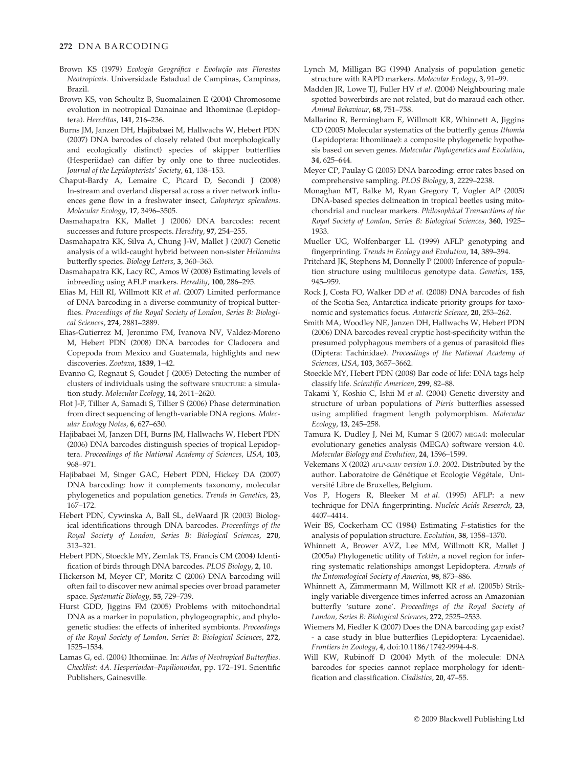#### 272 DNA BARCODING

- Brown KS (1979) Ecologia Geográfica e Evolução nas Florestas Neotropicais. Universidade Estadual de Campinas, Campinas, Brazil.
- Brown KS, von Schoultz B, Suomalainen E (2004) Chromosome evolution in neotropical Danainae and Ithomiinae (Lepidoptera). Hereditas, 141, 216–236.
- Burns JM, Janzen DH, Hajibabaei M, Hallwachs W, Hebert PDN (2007) DNA barcodes of closely related (but morphologically and ecologically distinct) species of skipper butterflies (Hesperiidae) can differ by only one to three nucleotides. Journal of the Lepidopterists' Society, 61, 138–153.
- Chaput-Bardy A, Lemaire C, Picard D, Secondi J (2008) In-stream and overland dispersal across a river network influences gene flow in a freshwater insect, Calopteryx splendens. Molecular Ecology, 17, 3496–3505.
- Dasmahapatra KK, Mallet J (2006) DNA barcodes: recent successes and future prospects. Heredity, 97, 254–255.
- Dasmahapatra KK, Silva A, Chung J-W, Mallet J (2007) Genetic analysis of a wild-caught hybrid between non-sister Heliconius butterfly species. Biology Letters, 3, 360–363.
- Dasmahapatra KK, Lacy RC, Amos W (2008) Estimating levels of inbreeding using AFLP markers. Heredity, 100, 286–295.
- Elias M, Hill RI, Willmott KR et al. (2007) Limited performance of DNA barcoding in a diverse community of tropical butterflies. Proceedings of the Royal Society of London, Series B: Biological Sciences, 274, 2881–2889.
- Elias-Gutierrez M, Jeronimo FM, Ivanova NV, Valdez-Moreno M, Hebert PDN (2008) DNA barcodes for Cladocera and Copepoda from Mexico and Guatemala, highlights and new discoveries. Zootaxa, 1839, 1–42.
- Evanno G, Regnaut S, Goudet J (2005) Detecting the number of clusters of individuals using the software STRUCTURE: a simulation study. Molecular Ecology, 14, 2611–2620.
- Flot J-F, Tillier A, Samadi S, Tillier S (2006) Phase determination from direct sequencing of length-variable DNA regions. Molecular Ecology Notes, 6, 627–630.
- Hajibabaei M, Janzen DH, Burns JM, Hallwachs W, Hebert PDN (2006) DNA barcodes distinguish species of tropical Lepidoptera. Proceedings of the National Academy of Sciences, USA, 103, 968–971.
- Hajibabaei M, Singer GAC, Hebert PDN, Hickey DA (2007) DNA barcoding: how it complements taxonomy, molecular phylogenetics and population genetics. Trends in Genetics, 23, 167–172.
- Hebert PDN, Cywinska A, Ball SL, deWaard JR (2003) Biological identifications through DNA barcodes. Proceedings of the Royal Society of London, Series B: Biological Sciences, 270, 313–321.
- Hebert PDN, Stoeckle MY, Zemlak TS, Francis CM (2004) Identification of birds through DNA barcodes. PLOS Biology, 2, 10.
- Hickerson M, Meyer CP, Moritz C (2006) DNA barcoding will often fail to discover new animal species over broad parameter space. Systematic Biology, 55, 729–739.
- Hurst GDD, Jiggins FM (2005) Problems with mitochondrial DNA as a marker in population, phylogeographic, and phylogenetic studies: the effects of inherited symbionts. Proceedings of the Royal Society of London, Series B: Biological Sciences, 272, 1525–1534.
- Lamas G, ed. (2004) Ithomiinae. In: Atlas of Neotropical Butterflies. Checklist: 4A. Hesperioidea–Papilionoidea, pp. 172–191. Scientific Publishers, Gainesville.
- Lynch M, Milligan BG (1994) Analysis of population genetic structure with RAPD markers. Molecular Ecology, 3, 91-99.
- Madden JR, Lowe TJ, Fuller HV et al. (2004) Neighbouring male spotted bowerbirds are not related, but do maraud each other. Animal Behaviour, 68, 751–758.
- Mallarino R, Bermingham E, Willmott KR, Whinnett A, Jiggins CD (2005) Molecular systematics of the butterfly genus Ithomia (Lepidoptera: Ithomiinae): a composite phylogenetic hypothesis based on seven genes. Molecular Phylogenetics and Evolution, 34, 625–644.
- Meyer CP, Paulay G (2005) DNA barcoding: error rates based on comprehensive sampling. PLOS Biology, 3, 2229–2238.
- Monaghan MT, Balke M, Ryan Gregory T, Vogler AP (2005) DNA-based species delineation in tropical beetles using mitochondrial and nuclear markers. Philosophical Transactions of the Royal Society of London, Series B: Biological Sciences, 360, 1925– 1933.
- Mueller UG, Wolfenbarger LL (1999) AFLP genotyping and fingerprinting. Trends in Ecology and Evolution, 14, 389–394.
- Pritchard JK, Stephens M, Donnelly P (2000) Inference of population structure using multilocus genotype data. Genetics, 155, 945–959.
- Rock J, Costa FO, Walker DD et al. (2008) DNA barcodes of fish of the Scotia Sea, Antarctica indicate priority groups for taxonomic and systematics focus. Antarctic Science, 20, 253–262.
- Smith MA, Woodley NE, Janzen DH, Hallwachs W, Hebert PDN (2006) DNA barcodes reveal cryptic host-specificity within the presumed polyphagous members of a genus of parasitoid flies (Diptera: Tachinidae). Proceedings of the National Academy of Sciences, USA, 103, 3657–3662.
- Stoeckle MY, Hebert PDN (2008) Bar code of life: DNA tags help classify life. Scientific American, 299, 82–88.
- Takami Y, Koshio C, Ishii M et al. (2004) Genetic diversity and structure of urban populations of Pieris butterflies assessed using amplified fragment length polymorphism. Molecular Ecology, 13, 245–258.
- Tamura K, Dudley J, Nei M, Kumar S (2007) MEGA4: molecular evolutionary genetics analysis (MEGA) software version 4.0. Molecular Biology and Evolution, 24, 1596–1599.
- Vekemans X (2002) AFLP-SURV version 1.0. 2002. Distributed by the author. Laboratoire de Génétique et Ecologie Végétale, Université Libre de Bruxelles, Belgium.
- Vos P, Hogers R, Bleeker M et al. (1995) AFLP: a new technique for DNA fingerprinting. Nucleic Acids Research, 23, 4407–4414.
- Weir BS, Cockerham CC (1984) Estimating F-statistics for the analysis of population structure. Evolution, 38, 1358–1370.
- Whinnett A, Brower AVZ, Lee MM, Willmott KR, Mallet J (2005a) Phylogenetic utility of Tektin, a novel region for inferring systematic relationships amongst Lepidoptera. Annals of the Entomological Society of America, 98, 873-886.
- Whinnett A, Zimmermann M, Willmott KR et al. (2005b) Strikingly variable divergence times inferred across an Amazonian butterfly 'suture zone'. Proceedings of the Royal Society of London, Series B: Biological Sciences, 272, 2525–2533.
- Wiemers M, Fiedler K (2007) Does the DNA barcoding gap exist? - a case study in blue butterflies (Lepidoptera: Lycaenidae). Frontiers in Zoology, 4, doi:10.1186/1742-9994-4-8.
- Will KW, Rubinoff D (2004) Myth of the molecule: DNA barcodes for species cannot replace morphology for identification and classification. Cladistics, 20, 47–55.